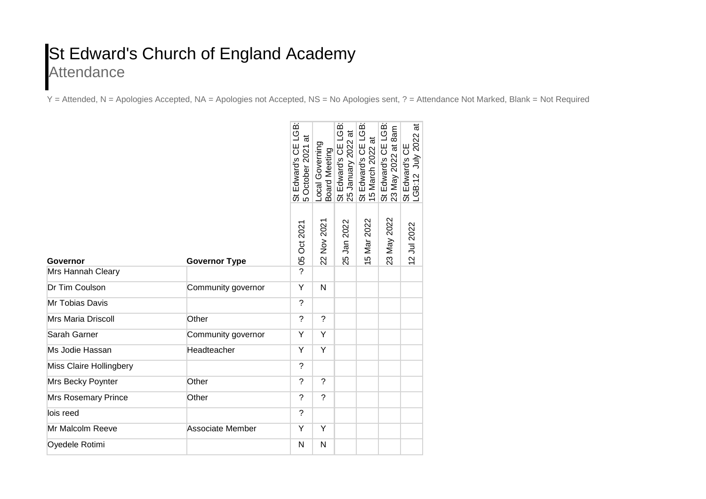## St Edward's Church of England Academy **Attendance**

Y = Attended, N = Apologies Accepted, NA = Apologies not Accepted, NS = No Apologies sent, ? = Attendance Not Marked, Blank = Not Required

|                            |                      | iger<br>ಹ<br>St Edward's CE I<br>5 October 2021 a | Local Governing<br>Board Meeting | œ<br>ت<br>ا<br>$\vec{a}$<br>January 2022<br>St Edward's CE<br>25 | LGB:<br>$\vec{a}$<br>UЯ<br>St Edward's CE<br>15 March 2022 a | LGB:<br>8a <sub>m</sub><br>St Edward's CE I<br>23 May 2022 at 8 | ಹ<br>St Edward's CE<br>LGB:12 July 2022 |
|----------------------------|----------------------|---------------------------------------------------|----------------------------------|------------------------------------------------------------------|--------------------------------------------------------------|-----------------------------------------------------------------|-----------------------------------------|
| Governor                   | <b>Governor Type</b> | 2021<br>5<br>Ö<br>80                              | 22 Nov 2021                      | 25 Jan 2022                                                      | 15 Mar 2022                                                  | 23 May 2022                                                     | 12 Jul 2022                             |
| Mrs Hannah Cleary          |                      | ?                                                 |                                  |                                                                  |                                                              |                                                                 |                                         |
| Dr Tim Coulson             | Community governor   | Y                                                 | N                                |                                                                  |                                                              |                                                                 |                                         |
| Mr Tobias Davis            |                      | ?                                                 |                                  |                                                                  |                                                              |                                                                 |                                         |
| <b>Mrs Maria Driscoll</b>  | Other                | $\overline{\phantom{a}}$                          | $\overline{\phantom{0}}$         |                                                                  |                                                              |                                                                 |                                         |
| Sarah Garner               | Community governor   | Y                                                 | Y                                |                                                                  |                                                              |                                                                 |                                         |
| Ms Jodie Hassan            | Headteacher          | Y                                                 | Y                                |                                                                  |                                                              |                                                                 |                                         |
| Miss Claire Hollingbery    |                      | $\tilde{?}$                                       |                                  |                                                                  |                                                              |                                                                 |                                         |
| Mrs Becky Poynter          | Other                | ?                                                 | $\overline{?}$                   |                                                                  |                                                              |                                                                 |                                         |
| <b>Mrs Rosemary Prince</b> | Other                | $\overline{\phantom{a}}$                          | $\tilde{?}$                      |                                                                  |                                                              |                                                                 |                                         |
| lois reed                  |                      | $\overline{?}$                                    |                                  |                                                                  |                                                              |                                                                 |                                         |
| Mr Malcolm Reeve           | Associate Member     | Y                                                 | Y                                |                                                                  |                                                              |                                                                 |                                         |
| Oyedele Rotimi             |                      | N                                                 | N                                |                                                                  |                                                              |                                                                 |                                         |